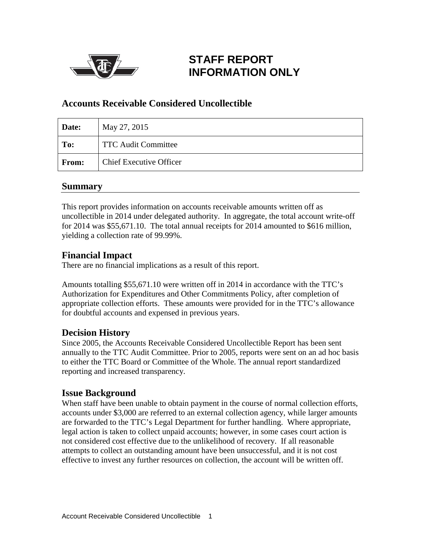

# **STAFF REPORT INFORMATION ONLY**

### **Accounts Receivable Considered Uncollectible**

| Date:        | May 27, 2015                   |
|--------------|--------------------------------|
| To:          | <b>TTC Audit Committee</b>     |
| <b>From:</b> | <b>Chief Executive Officer</b> |

### **Summary**

This report provides information on accounts receivable amounts written off as uncollectible in 2014 under delegated authority. In aggregate, the total account write-off for 2014 was \$55,671.10. The total annual receipts for 2014 amounted to \$616 million, yielding a collection rate of 99.99%.

# **Financial Impact**

There are no financial implications as a result of this report.

Amounts totalling \$55,671.10 were written off in 2014 in accordance with the TTC's Authorization for Expenditures and Other Commitments Policy, after completion of appropriate collection efforts. These amounts were provided for in the TTC's allowance for doubtful accounts and expensed in previous years.

# **Decision History**

Since 2005, the Accounts Receivable Considered Uncollectible Report has been sent annually to the TTC Audit Committee. Prior to 2005, reports were sent on an ad hoc basis to either the TTC Board or Committee of the Whole. The annual report standardized reporting and increased transparency.

### **Issue Background**

When staff have been unable to obtain payment in the course of normal collection efforts, accounts under \$3,000 are referred to an external collection agency, while larger amounts are forwarded to the TTC's Legal Department for further handling. Where appropriate, legal action is taken to collect unpaid accounts; however, in some cases court action is not considered cost effective due to the unlikelihood of recovery. If all reasonable attempts to collect an outstanding amount have been unsuccessful, and it is not cost effective to invest any further resources on collection, the account will be written off.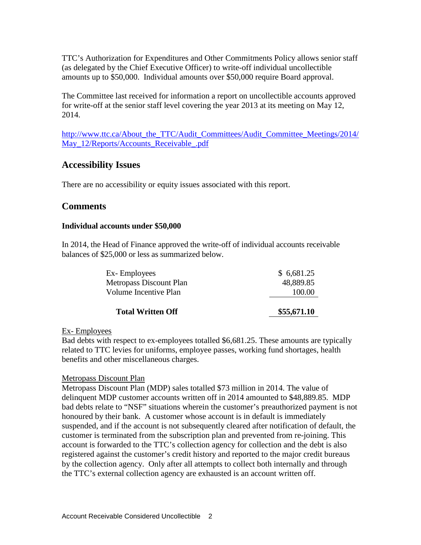TTC's Authorization for Expenditures and Other Commitments Policy allows senior staff (as delegated by the Chief Executive Officer) to write-off individual uncollectible amounts up to \$50,000. Individual amounts over \$50,000 require Board approval.

The Committee last received for information a report on uncollectible accounts approved for write-off at the senior staff level covering the year 2013 at its meeting on May 12, 2014.

[http://www.ttc.ca/About\\_the\\_TTC/Audit\\_Committees/Audit\\_Committee\\_Meetings/2014/](http://www.ttc.ca/About_the_TTC/Audit_Committees/Audit_Committee_Meetings/2014/May_12/Reports/Accounts_Receivable_.pdf) [May\\_12/Reports/Accounts\\_Receivable\\_.pdf](http://www.ttc.ca/About_the_TTC/Audit_Committees/Audit_Committee_Meetings/2014/May_12/Reports/Accounts_Receivable_.pdf)

### **Accessibility Issues**

There are no accessibility or equity issues associated with this report.

### **Comments**

#### **Individual accounts under \$50,000**

In 2014, the Head of Finance approved the write-off of individual accounts receivable balances of \$25,000 or less as summarized below.

| <b>Total Written Off</b> | \$55,671.10 |
|--------------------------|-------------|
| Volume Incentive Plan    | 100.00      |
| Metropass Discount Plan  | 48,889.85   |
| Ex-Employees             | \$6,681.25  |

#### Ex- Employees

Bad debts with respect to ex-employees totalled \$6,681.25. These amounts are typically related to TTC levies for uniforms, employee passes, working fund shortages, health benefits and other miscellaneous charges.

#### Metropass Discount Plan

Metropass Discount Plan (MDP) sales totalled \$73 million in 2014. The value of delinquent MDP customer accounts written off in 2014 amounted to \$48,889.85. MDP bad debts relate to "NSF" situations wherein the customer's preauthorized payment is not honoured by their bank. A customer whose account is in default is immediately suspended, and if the account is not subsequently cleared after notification of default, the customer is terminated from the subscription plan and prevented from re-joining. This account is forwarded to the TTC's collection agency for collection and the debt is also registered against the customer's credit history and reported to the major credit bureaus by the collection agency. Only after all attempts to collect both internally and through the TTC's external collection agency are exhausted is an account written off.